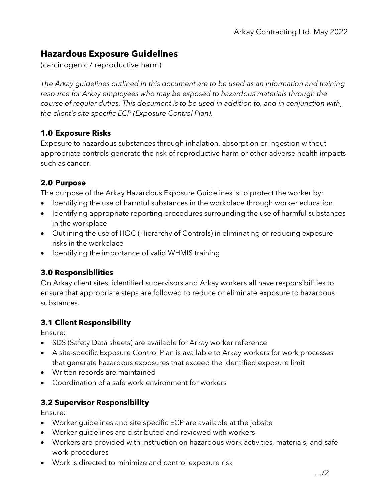# **Hazardous Exposure Guidelines**

(carcinogenic / reproductive harm)

*The Arkay guidelines outlined in this document are to be used as an information and training resource for Arkay employees who may be exposed to hazardous materials through the course of regular duties. This document is to be used in addition to, and in conjunction with, the client's site specific ECP (Exposure Control Plan).*

### **1.0 Exposure Risks**

Exposure to hazardous substances through inhalation, absorption or ingestion without appropriate controls generate the risk of reproductive harm or other adverse health impacts such as cancer.

### **2.0 Purpose**

The purpose of the Arkay Hazardous Exposure Guidelines is to protect the worker by:

- Identifying the use of harmful substances in the workplace through worker education
- Identifying appropriate reporting procedures surrounding the use of harmful substances in the workplace
- Outlining the use of HOC (Hierarchy of Controls) in eliminating or reducing exposure risks in the workplace
- Identifying the importance of valid WHMIS training

### **3.0 Responsibilities**

On Arkay client sites, identified supervisors and Arkay workers all have responsibilities to ensure that appropriate steps are followed to reduce or eliminate exposure to hazardous substances.

### **3.1 Client Responsibility**

Ensure:

- SDS (Safety Data sheets) are available for Arkay worker reference
- A site-specific Exposure Control Plan is available to Arkay workers for work processes that generate hazardous exposures that exceed the identified exposure limit
- Written records are maintained
- Coordination of a safe work environment for workers

### **3.2 Supervisor Responsibility**

Ensure:

- Worker guidelines and site specific ECP are available at the jobsite
- Worker guidelines are distributed and reviewed with workers
- Workers are provided with instruction on hazardous work activities, materials, and safe work procedures
- Work is directed to minimize and control exposure risk